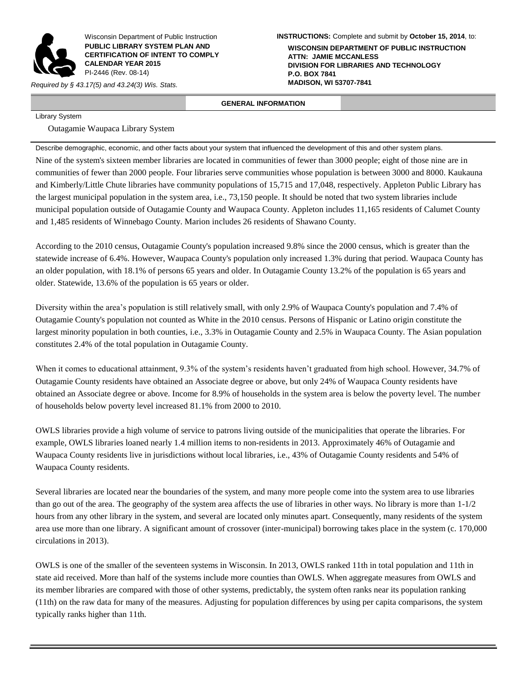

Wisconsin Department of Public Instruction **PUBLIC LIBRARY SYSTEM PLAN AND CERTIFICATION OF INTENT TO COMPLY CALENDAR YEAR 2015** PI-2446 (Rev. 08-14)

*Required by § 43.17(5) and 43.24(3) Wis. Stats.* 

**INSTRUCTIONS:** Complete and submit by **October 15, 2014**, to:

**WISCONSIN DEPARTMENT OF PUBLIC INSTRUCTION ATTN: JAMIE MCCANLESS DIVISION FOR LIBRARIES AND TECHNOLOGY P.O. BOX 7841**

## **GENERAL INFORMATION**

Library System

Outagamie Waupaca Library System

Describe demographic, economic, and other facts about your system that influenced the development of this and other system plans.

Nine of the system's sixteen member libraries are located in communities of fewer than 3000 people; eight of those nine are in communities of fewer than 2000 people. Four libraries serve communities whose population is between 3000 and 8000. Kaukauna and Kimberly/Little Chute libraries have community populations of 15,715 and 17,048, respectively. Appleton Public Library has the largest municipal population in the system area, i.e., 73,150 people. It should be noted that two system libraries include municipal population outside of Outagamie County and Waupaca County. Appleton includes 11,165 residents of Calumet County and 1,485 residents of Winnebago County. Marion includes 26 residents of Shawano County.

According to the 2010 census, Outagamie County's population increased 9.8% since the 2000 census, which is greater than the statewide increase of 6.4%. However, Waupaca County's population only increased 1.3% during that period. Waupaca County has an older population, with 18.1% of persons 65 years and older. In Outagamie County 13.2% of the population is 65 years and older. Statewide, 13.6% of the population is 65 years or older.

Diversity within the area's population is still relatively small, with only 2.9% of Waupaca County's population and 7.4% of Outagamie County's population not counted as White in the 2010 census. Persons of Hispanic or Latino origin constitute the largest minority population in both counties, i.e., 3.3% in Outagamie County and 2.5% in Waupaca County. The Asian population constitutes 2.4% of the total population in Outagamie County.

When it comes to educational attainment, 9.3% of the system's residents haven't graduated from high school. However, 34.7% of Outagamie County residents have obtained an Associate degree or above, but only 24% of Waupaca County residents have obtained an Associate degree or above. Income for 8.9% of households in the system area is below the poverty level. The number of households below poverty level increased 81.1% from 2000 to 2010.

OWLS libraries provide a high volume of service to patrons living outside of the municipalities that operate the libraries. For example, OWLS libraries loaned nearly 1.4 million items to non-residents in 2013. Approximately 46% of Outagamie and Waupaca County residents live in jurisdictions without local libraries, i.e., 43% of Outagamie County residents and 54% of Waupaca County residents.

Several libraries are located near the boundaries of the system, and many more people come into the system area to use libraries than go out of the area. The geography of the system area affects the use of libraries in other ways. No library is more than  $1-1/2$ hours from any other library in the system, and several are located only minutes apart. Consequently, many residents of the system area use more than one library. A significant amount of crossover (inter-municipal) borrowing takes place in the system (c. 170,000 circulations in 2013).

OWLS is one of the smaller of the seventeen systems in Wisconsin. In 2013, OWLS ranked 11th in total population and 11th in state aid received. More than half of the systems include more counties than OWLS. When aggregate measures from OWLS and its member libraries are compared with those of other systems, predictably, the system often ranks near its population ranking (11th) on the raw data for many of the measures. Adjusting for population differences by using per capita comparisons, the system typically ranks higher than 11th.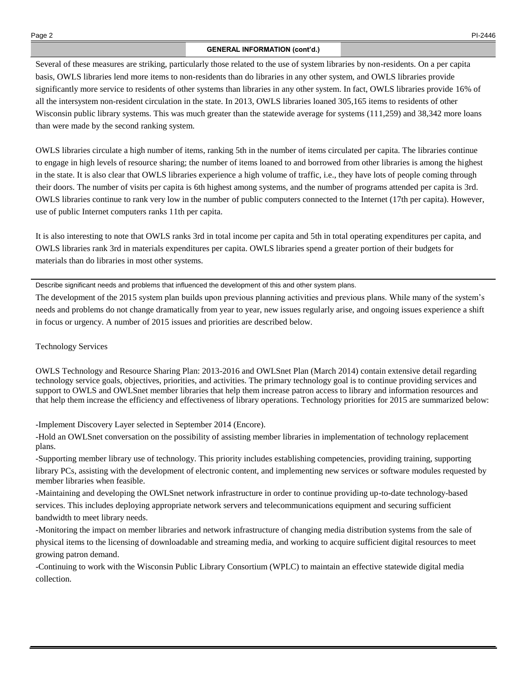## **GENERAL INFORMATION (cont'd.)**

Several of these measures are striking, particularly those related to the use of system libraries by non-residents. On a per capita basis, OWLS libraries lend more items to non-residents than do libraries in any other system, and OWLS libraries provide significantly more service to residents of other systems than libraries in any other system. In fact, OWLS libraries provide 16% of all the intersystem non-resident circulation in the state. In 2013, OWLS libraries loaned 305,165 items to residents of other Wisconsin public library systems. This was much greater than the statewide average for systems (111,259) and 38,342 more loans than were made by the second ranking system.

OWLS libraries circulate a high number of items, ranking 5th in the number of items circulated per capita. The libraries continue to engage in high levels of resource sharing; the number of items loaned to and borrowed from other libraries is among the highest in the state. It is also clear that OWLS libraries experience a high volume of traffic, i.e., they have lots of people coming through their doors. The number of visits per capita is 6th highest among systems, and the number of programs attended per capita is 3rd. OWLS libraries continue to rank very low in the number of public computers connected to the Internet (17th per capita). However, use of public Internet computers ranks 11th per capita.

It is also interesting to note that OWLS ranks 3rd in total income per capita and 5th in total operating expenditures per capita, and OWLS libraries rank 3rd in materials expenditures per capita. OWLS libraries spend a greater portion of their budgets for materials than do libraries in most other systems.

Describe significant needs and problems that influenced the development of this and other system plans.

The development of the 2015 system plan builds upon previous planning activities and previous plans. While many of the system's needs and problems do not change dramatically from year to year, new issues regularly arise, and ongoing issues experience a shift in focus or urgency. A number of 2015 issues and priorities are described below.

## Technology Services

OWLS Technology and Resource Sharing Plan: 2013-2016 and OWLSnet Plan (March 2014) contain extensive detail regarding technology service goals, objectives, priorities, and activities. The primary technology goal is to continue providing services and support to OWLS and OWLSnet member libraries that help them increase patron access to library and information resources and that help them increase the efficiency and effectiveness of library operations. Technology priorities for 2015 are summarized below:

-Implement Discovery Layer selected in September 2014 (Encore).

-Hold an OWLSnet conversation on the possibility of assisting member libraries in implementation of technology replacement plans.

-Supporting member library use of technology. This priority includes establishing competencies, providing training, supporting library PCs, assisting with the development of electronic content, and implementing new services or software modules requested by member libraries when feasible.

-Maintaining and developing the OWLSnet network infrastructure in order to continue providing up-to-date technology-based services. This includes deploying appropriate network servers and telecommunications equipment and securing sufficient bandwidth to meet library needs.

-Monitoring the impact on member libraries and network infrastructure of changing media distribution systems from the sale of physical items to the licensing of downloadable and streaming media, and working to acquire sufficient digital resources to meet growing patron demand.

-Continuing to work with the Wisconsin Public Library Consortium (WPLC) to maintain an effective statewide digital media collection.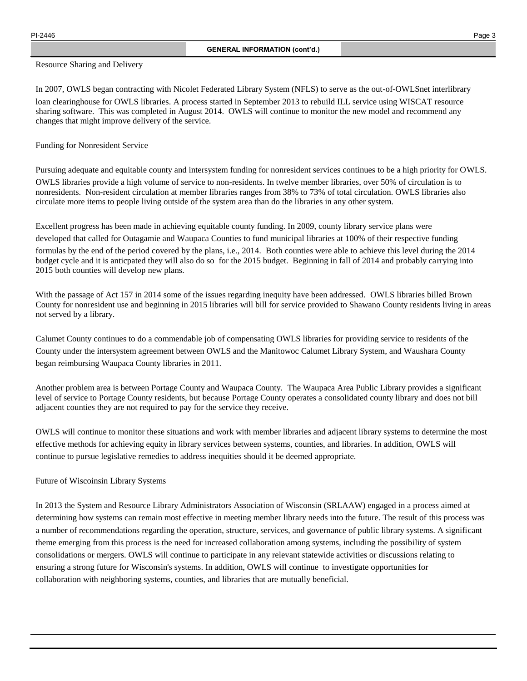## Resource Sharing and Delivery

In 2007, OWLS began contracting with Nicolet Federated Library System (NFLS) to serve as the out-of-OWLSnet interlibrary loan clearinghouse for OWLS libraries. A process started in September 2013 to rebuild ILL service using WISCAT resource sharing software. This was completed in August 2014. OWLS will continue to monitor the new model and recommend any changes that might improve delivery of the service.

Funding for Nonresident Service

Pursuing adequate and equitable county and intersystem funding for nonresident services continues to be a high priority for OWLS. OWLS libraries provide a high volume of service to non-residents. In twelve member libraries, over 50% of circulation is to nonresidents. Non-resident circulation at member libraries ranges from 38% to 73% of total circulation. OWLS libraries also circulate more items to people living outside of the system area than do the libraries in any other system.

Excellent progress has been made in achieving equitable county funding. In 2009, county library service plans were developed that called for Outagamie and Waupaca Counties to fund municipal libraries at 100% of their respective funding formulas by the end of the period covered by the plans, i.e., 2014. Both counties were able to achieve this level during the 2014 budget cycle and it is anticpated they will also do so for the 2015 budget. Beginning in fall of 2014 and probably carrying into 2015 both counties will develop new plans.

With the passage of Act 157 in 2014 some of the issues regarding inequity have been addressed. OWLS libraries billed Brown County for nonresident use and beginning in 2015 libraries will bill for service provided to Shawano County residents living in areas not served by a library.

Calumet County continues to do a commendable job of compensating OWLS libraries for providing service to residents of the County under the intersystem agreement between OWLS and the Manitowoc Calumet Library System, and Waushara County began reimbursing Waupaca County libraries in 2011.

Another problem area is between Portage County and Waupaca County. The Waupaca Area Public Library provides a significant level of service to Portage County residents, but because Portage County operates a consolidated county library and does not bill adjacent counties they are not required to pay for the service they receive.

OWLS will continue to monitor these situations and work with member libraries and adjacent library systems to determine the most effective methods for achieving equity in library services between systems, counties, and libraries. In addition, OWLS will continue to pursue legislative remedies to address inequities should it be deemed appropriate.

Future of Wiscoinsin Library Systems

In 2013 the System and Resource Library Administrators Association of Wisconsin (SRLAAW) engaged in a process aimed at determining how systems can remain most effective in meeting member library needs into the future. The result of this process was a number of recommendations regarding the operation, structure, services, and governance of public library systems. A significant theme emerging from this process is the need for increased collaboration among systems, including the possibility of system consolidations or mergers. OWLS will continue to participate in any relevant statewide activities or discussions relating to ensuring a strong future for Wisconsin's systems. In addition, OWLS will continue to investigate opportunities for collaboration with neighboring systems, counties, and libraries that are mutually beneficial.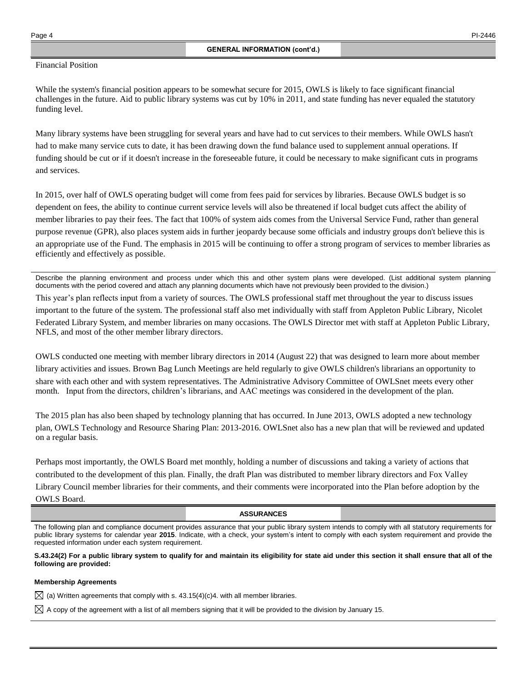## Financial Position

While the system's financial position appears to be somewhat secure for 2015, OWLS is likely to face significant financial challenges in the future. Aid to public library systems was cut by 10% in 2011, and state funding has never equaled the statutory funding level.

Many library systems have been struggling for several years and have had to cut services to their members. While OWLS hasn't had to make many service cuts to date, it has been drawing down the fund balance used to supplement annual operations. If funding should be cut or if it doesn't increase in the foreseeable future, it could be necessary to make significant cuts in programs and services.

In 2015, over half of OWLS operating budget will come from fees paid for services by libraries. Because OWLS budget is so dependent on fees, the ability to continue current service levels will also be threatened if local budget cuts affect the ability of member libraries to pay their fees. The fact that 100% of system aids comes from the Universal Service Fund, rather than general purpose revenue (GPR), also places system aids in further jeopardy because some officials and industry groups don't believe this is an appropriate use of the Fund. The emphasis in 2015 will be continuing to offer a strong program of services to member libraries as efficiently and effectively as possible.

Describe the planning environment and process under which this and other system plans were developed. (List additional system planning documents with the period covered and attach any planning documents which have not previously been provided to the division.)

This year's plan reflects input from a variety of sources. The OWLS professional staff met throughout the year to discuss issues important to the future of the system. The professional staff also met individually with staff from Appleton Public Library, Nicolet Federated Library System, and member libraries on many occasions. The OWLS Director met with staff at Appleton Public Library, NFLS, and most of the other member library directors.

OWLS conducted one meeting with member library directors in 2014 (August 22) that was designed to learn more about member library activities and issues. Brown Bag Lunch Meetings are held regularly to give OWLS children's librarians an opportunity to share with each other and with system representatives. The Administrative Advisory Committee of OWLSnet meets every other month. Input from the directors, children's librarians, and AAC meetings was considered in the development of the plan.

The 2015 plan has also been shaped by technology planning that has occurred. In June 2013, OWLS adopted a new technology plan, OWLS Technology and Resource Sharing Plan: 2013-2016. OWLSnet also has a new plan that will be reviewed and updated on a regular basis.

Perhaps most importantly, the OWLS Board met monthly, holding a number of discussions and taking a variety of actions that contributed to the development of this plan. Finally, the draft Plan was distributed to member library directors and Fox Valley Library Council member libraries for their comments, and their comments were incorporated into the Plan before adoption by the OWLS Board.

### **ASSURANCES**

The following plan and compliance document provides assurance that your public library system intends to comply with all statutory requirements for public library systems for calendar year **2015**. Indicate, with a check, your system's intent to comply with each system requirement and provide the requested information under each system requirement.

**S.43.24(2) For a public library system to qualify for and maintain its eligibility for state aid under this section it shall ensure that all of the following are provided:**

#### **Membership Agreements**

 $\boxtimes$  (a) Written agreements that comply with s. 43.15(4)(c)4. with all member libraries.

 $\boxtimes$  A copy of the agreement with a list of all members signing that it will be provided to the division by January 15.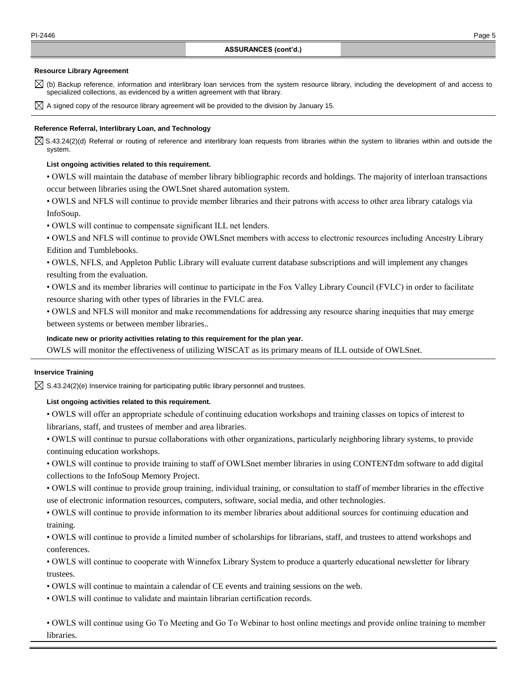#### **Resource Library Agreement**

- $\boxtimes$  (b) Backup reference, information and interlibrary loan services from the system resource library, including the development of and access to specialized collections, as evidenced by a written agreement with that library.
- $\boxtimes$  A signed copy of the resource library agreement will be provided to the division by January 15.

### **Reference Referral, Interlibrary Loan, and Technology**

 $\boxtimes$  S.43.24(2)(d) Referral or routing of reference and interlibrary loan requests from libraries within the system to libraries within and outside the system.

#### **List ongoing activities related to this requirement.**

• OWLS will maintain the database of member library bibliographic records and holdings. The majority of interloan transactions occur between libraries using the OWLSnet shared automation system.

• OWLS and NFLS will continue to provide member libraries and their patrons with access to other area library catalogs via InfoSoup.

- OWLS will continue to compensate significant ILL net lenders.
- OWLS and NFLS will continue to provide OWLSnet members with access to electronic resources including Ancestry Library Edition and Tumblebooks.
- OWLS, NFLS, and Appleton Public Library will evaluate current database subscriptions and will implement any changes resulting from the evaluation.

• OWLS and its member libraries will continue to participate in the Fox Valley Library Council (FVLC) in order to facilitate resource sharing with other types of libraries in the FVLC area.

• OWLS and NFLS will monitor and make recommendations for addressing any resource sharing inequities that may emerge between systems or between member libraries..

## **Indicate new or priority activities relating to this requirement for the plan year.**

OWLS will monitor the effectiveness of utilizing WISCAT as its primary means of ILL outside of OWLSnet.

### **Inservice Training**

 $\boxtimes$  S.43.24(2)(e) Inservice training for participating public library personnel and trustees.

#### **List ongoing activities related to this requirement.**

- OWLS will offer an appropriate schedule of continuing education workshops and training classes on topics of interest to librarians, staff, and trustees of member and area libraries.
- OWLS will continue to pursue collaborations with other organizations, particularly neighboring library systems, to provide continuing education workshops.
- OWLS will continue to provide training to staff of OWLSnet member libraries in using CONTENTdm software to add digital collections to the InfoSoup Memory Project.
- OWLS will continue to provide group training, individual training, or consultation to staff of member libraries in the effective use of electronic information resources, computers, software, social media, and other technologies.
- OWLS will continue to provide information to its member libraries about additional sources for continuing education and training.
- OWLS will continue to provide a limited number of scholarships for librarians, staff, and trustees to attend workshops and conferences.
- OWLS will continue to cooperate with Winnefox Library System to produce a quarterly educational newsletter for library trustees.
- OWLS will continue to maintain a calendar of CE events and training sessions on the web.
- OWLS will continue to validate and maintain librarian certification records.

• OWLS will continue using Go To Meeting and Go To Webinar to host online meetings and provide online training to member libraries.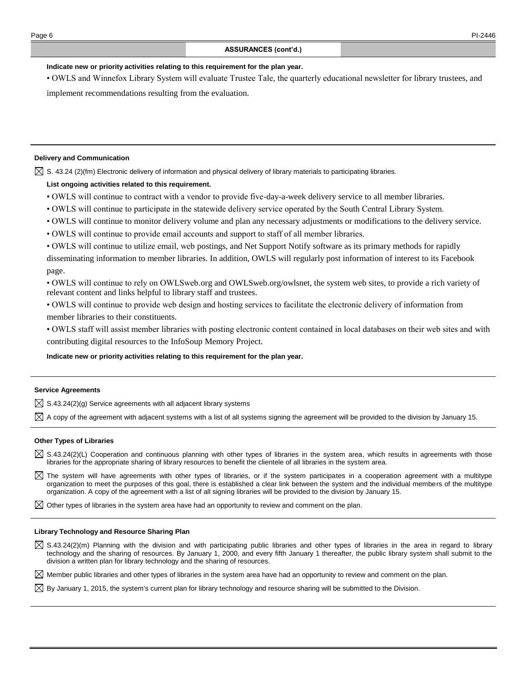### **Indicate new or priority activities relating to this requirement for the plan year.**

• OWLS and Winnefox Library System will evaluate Trustee Tale, the quarterly educational newsletter for library trustees, and implement recommendations resulting from the evaluation.

**Delivery and Communication**

 $\boxtimes$  S. 43.24 (2)(fm) Electronic delivery of information and physical delivery of library materials to participating libraries.

### **List ongoing activities related to this requirement.**

- OWLS will continue to contract with a vendor to provide five-day-a-week delivery service to all member libraries.
- OWLS will continue to participate in the statewide delivery service operated by the South Central Library System.
- OWLS will continue to monitor delivery volume and plan any necessary adjustments or modifications to the delivery service.
- OWLS will continue to provide email accounts and support to staff of all member libraries.
- OWLS will continue to utilize email, web postings, and Net Support Notify software as its primary methods for rapidly disseminating information to member libraries. In addition, OWLS will regularly post information of interest to its Facebook page.

• OWLS will continue to rely on OWLSweb.org and OWLSweb.org/owlsnet, the system web sites, to provide a rich variety of relevant content and links helpful to library staff and trustees.

- OWLS will continue to provide web design and hosting services to facilitate the electronic delivery of information from member libraries to their constituents.
- OWLS staff will assist member libraries with posting electronic content contained in local databases on their web sites and with contributing digital resources to the InfoSoup Memory Project.

#### **Indicate new or priority activities relating to this requirement for the plan year.**

#### **Service Agreements**

 $\boxtimes$  S.43.24(2)(g) Service agreements with all adjacent library systems

 $\boxtimes$  A copy of the agreement with adjacent systems with a list of all systems signing the agreement will be provided to the division by January 15.

#### **Other Types of Libraries**

- $\boxtimes$  S.43.24(2)(L) Cooperation and continuous planning with other types of libraries in the system area, which results in agreements with those libraries for the appropriate sharing of library resources to benefit the clientele of all libraries in the system area.
- $\boxtimes$  The system will have agreements with other types of libraries, or if the system participates in a cooperation agreement with a multitype organization to meet the purposes of this goal, there is established a clear link between the system and the individual members of the multitype organization. A copy of the agreement with a list of all signing libraries will be provided to the division by January 15.
- $\boxtimes$  Other types of libraries in the system area have had an opportunity to review and comment on the plan.

#### **Library Technology and Resource Sharing Plan**

 $\boxtimes$  S.43.24(2)(m) Planning with the division and with participating public libraries and other types of libraries in the area in regard to library technology and the sharing of resources. By January 1, 2000, and every fifth January 1 thereafter, the public library system shall submit to the division a written plan for library technology and the sharing of resources.

 $\boxtimes$  Member public libraries and other types of libraries in the system area have had an opportunity to review and comment on the plan.

 $\boxtimes$  By January 1, 2015, the system's current plan for library technology and resource sharing will be submitted to the Division.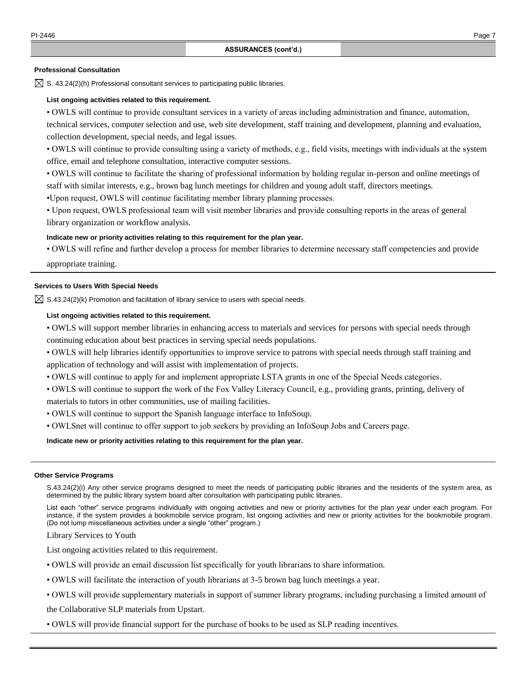### **Professional Consultation**

 $\boxtimes$  S. 43.24(2)(h) Professional consultant services to participating public libraries.

### **List ongoing activities related to this requirement.**

• OWLS will continue to provide consultant services in a variety of areas including administration and finance, automation, technical services, computer selection and use, web site development, staff training and development, planning and evaluation, collection development, special needs, and legal issues.

• OWLS will continue to provide consulting using a variety of methods, e.g., field visits, meetings with individuals at the system office, email and telephone consultation, interactive computer sessions.

• OWLS will continue to facilitate the sharing of professional information by holding regular in-person and online meetings of staff with similar interests, e.g., brown bag lunch meetings for children and young adult staff, directors meetings.

•Upon request, OWLS will continue facilitating member library planning processes.

• Upon request, OWLS professional team will visit member libraries and provide consulting reports in the areas of general library organization or workflow analysis.

#### **Indicate new or priority activities relating to this requirement for the plan year.**

• OWLS will refine and further develop a process for member libraries to determine necessary staff competencies and provide

appropriate training.

### **Services to Users With Special Needs**

 $\boxtimes$  S.43.24(2)(k) Promotion and facilitation of library service to users with special needs.

#### **List ongoing activities related to this requirement.**

• OWLS will support member libraries in enhancing access to materials and services for persons with special needs through continuing education about best practices in serving special needs populations.

• OWLS will help libraries identify opportunities to improve service to patrons with special needs through staff training and application of technology and will assist with implementation of projects.

• OWLS will continue to apply for and implement appropriate LSTA grants in one of the Special Needs categories.

• OWLS will continue to support the work of the Fox Valley Literacy Council, e.g., providing grants, printing, delivery of materials to tutors in other communities, use of mailing facilities.

- OWLS will continue to support the Spanish language interface to InfoSoup.
- OWLSnet will continue to offer support to job seekers by providing an InfoSoup Jobs and Careers page.

**Indicate new or priority activities relating to this requirement for the plan year.**

#### **Other Service Programs**

S.43.24(2)(i) Any other service programs designed to meet the needs of participating public libraries and the residents of the system area, as determined by the public library system board after consultation with participating public libraries.

List each "other" service programs individually with ongoing activities and new or priority activities for the plan year under each program. For instance, if the system provides a bookmobile service program, list ongoing activities and new or priority activities for the bookmobile program. (Do not lump miscellaneous activities under a single "other" program.)

Library Services to Youth

List ongoing activities related to this requirement.

- OWLS will provide an email discussion list specifically for youth librarians to share information.
- OWLS will facilitate the interaction of youth librarians at 3-5 brown bag lunch meetings a year.
- OWLS will provide supplementary materials in support of summer library programs, including purchasing a limited amount of

the Collaborative SLP materials from Upstart.

• OWLS will provide financial support for the purchase of books to be used as SLP reading incentives.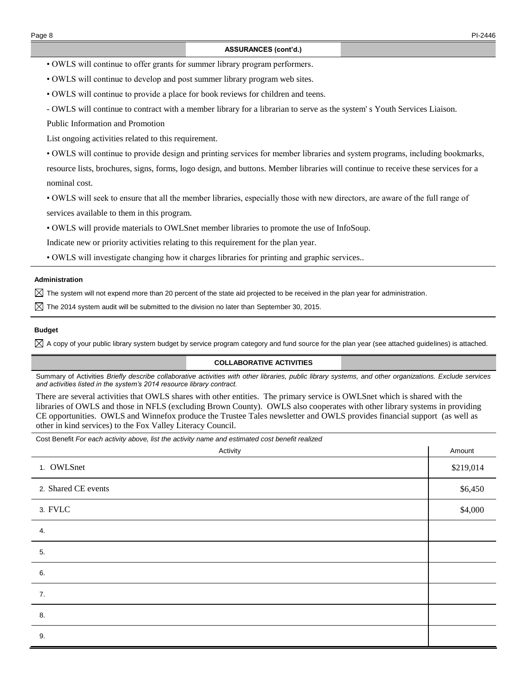• OWLS will continue to offer grants for summer library program performers.

• OWLS will continue to develop and post summer library program web sites.

• OWLS will continue to provide a place for book reviews for children and teens.

- OWLS will continue to contract with a member library for a librarian to serve as the system' s Youth Services Liaison.

Public Information and Promotion

List ongoing activities related to this requirement.

• OWLS will continue to provide design and printing services for member libraries and system programs, including bookmarks, resource lists, brochures, signs, forms, logo design, and buttons. Member libraries will continue to receive these services for a nominal cost.

• OWLS will seek to ensure that all the member libraries, especially those with new directors, are aware of the full range of services available to them in this program.

• OWLS will provide materials to OWLSnet member libraries to promote the use of InfoSoup.

Indicate new or priority activities relating to this requirement for the plan year.

• OWLS will investigate changing how it charges libraries for printing and graphic services..

### **Administration**

 $\boxtimes$  The system will not expend more than 20 percent of the state aid projected to be received in the plan year for administration.

 $\boxtimes$  The 2014 system audit will be submitted to the division no later than September 30, 2015.

#### **Budget**

 $\boxtimes$  A copy of your public library system budget by service program category and fund source for the plan year (see attached guidelines) is attached.

## **COLLABORATIVE ACTIVITIES**

Summary of Activities *Briefly describe collaborative activities with other libraries, public library systems, and other organizations. Exclude services and activities listed in the system's 2014 resource library contract.*

There are several activities that OWLS shares with other entities. The primary service is OWLSnet which is shared with the libraries of OWLS and those in NFLS (excluding Brown County). OWLS also cooperates with other library systems in providing CE opportunities. OWLS and Winnefox produce the Trustee Tales newsletter and OWLS provides financial support (as well as other in kind services) to the Fox Valley Literacy Council.

| Cost Benefit For each activity above, list the activity name and estimated cost benefit realized |           |  |  |  |  |
|--------------------------------------------------------------------------------------------------|-----------|--|--|--|--|
| Activity                                                                                         | Amount    |  |  |  |  |
| 1. OWLSnet                                                                                       | \$219,014 |  |  |  |  |
| 2. Shared CE events                                                                              | \$6,450   |  |  |  |  |
| 3. FVLC                                                                                          | \$4,000   |  |  |  |  |
| 4.                                                                                               |           |  |  |  |  |
| 5.                                                                                               |           |  |  |  |  |
| 6.                                                                                               |           |  |  |  |  |
| 7.                                                                                               |           |  |  |  |  |
| 8.                                                                                               |           |  |  |  |  |
| 9.                                                                                               |           |  |  |  |  |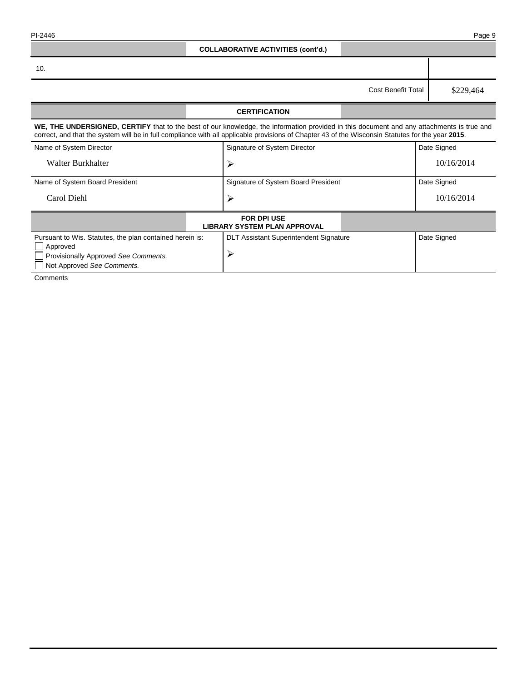|  | PI-2446 |  |
|--|---------|--|
|--|---------|--|

| PI-2446                                                                                                                                    |                                                                                                                                                                                                                                                                                                |                                                    |                           | Page 9      |  |  |  |
|--------------------------------------------------------------------------------------------------------------------------------------------|------------------------------------------------------------------------------------------------------------------------------------------------------------------------------------------------------------------------------------------------------------------------------------------------|----------------------------------------------------|---------------------------|-------------|--|--|--|
|                                                                                                                                            |                                                                                                                                                                                                                                                                                                | <b>COLLABORATIVE ACTIVITIES (cont'd.)</b>          |                           |             |  |  |  |
| 10.                                                                                                                                        |                                                                                                                                                                                                                                                                                                |                                                    |                           |             |  |  |  |
|                                                                                                                                            |                                                                                                                                                                                                                                                                                                |                                                    | <b>Cost Benefit Total</b> | \$229,464   |  |  |  |
|                                                                                                                                            |                                                                                                                                                                                                                                                                                                | <b>CERTIFICATION</b>                               |                           |             |  |  |  |
|                                                                                                                                            | WE, THE UNDERSIGNED, CERTIFY that to the best of our knowledge, the information provided in this document and any attachments is true and<br>correct, and that the system will be in full compliance with all applicable provisions of Chapter 43 of the Wisconsin Statutes for the year 2015. |                                                    |                           |             |  |  |  |
| Name of System Director                                                                                                                    |                                                                                                                                                                                                                                                                                                | Signature of System Director                       |                           | Date Signed |  |  |  |
| Walter Burkhalter                                                                                                                          |                                                                                                                                                                                                                                                                                                | ≻                                                  |                           | 10/16/2014  |  |  |  |
| Name of System Board President                                                                                                             |                                                                                                                                                                                                                                                                                                | Signature of System Board President                |                           | Date Signed |  |  |  |
| Carol Diehl                                                                                                                                |                                                                                                                                                                                                                                                                                                | $\blacktriangleright$                              |                           | 10/16/2014  |  |  |  |
| <b>FOR DPI USE</b><br><b>LIBRARY SYSTEM PLAN APPROVAL</b>                                                                                  |                                                                                                                                                                                                                                                                                                |                                                    |                           |             |  |  |  |
| Pursuant to Wis. Statutes, the plan contained herein is:<br>Approved<br>Provisionally Approved See Comments.<br>Not Approved See Comments. |                                                                                                                                                                                                                                                                                                | <b>DLT Assistant Superintendent Signature</b><br>≻ |                           | Date Signed |  |  |  |

Comments